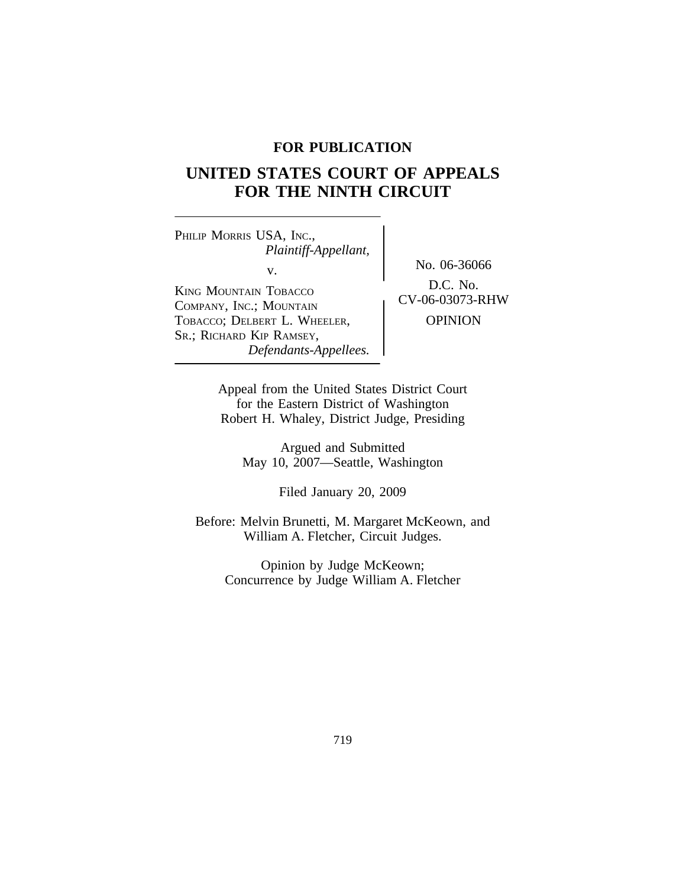# **FOR PUBLICATION**

# **UNITED STATES COURT OF APPEALS FOR THE NINTH CIRCUIT**

PHILIP MORRIS USA, INC., *Plaintiff-Appellant,* v.  $\begin{array}{c} \text{No. } 06-36066 \\ \text{Do. } 06. \end{array}$ KING MOUNTAIN TOBACCO<br>
COMBANY ING : MOUNTAIN COMPANY, INC.; MOUNTAIN TOBACCO; DELBERT L. WHEELER, OPINION SR.; RICHARD KIP RAMSEY, *Defendants-Appellees.*

Appeal from the United States District Court for the Eastern District of Washington Robert H. Whaley, District Judge, Presiding

Argued and Submitted May 10, 2007—Seattle, Washington

Filed January 20, 2009

Before: Melvin Brunetti, M. Margaret McKeown, and William A. Fletcher, Circuit Judges.

Opinion by Judge McKeown; Concurrence by Judge William A. Fletcher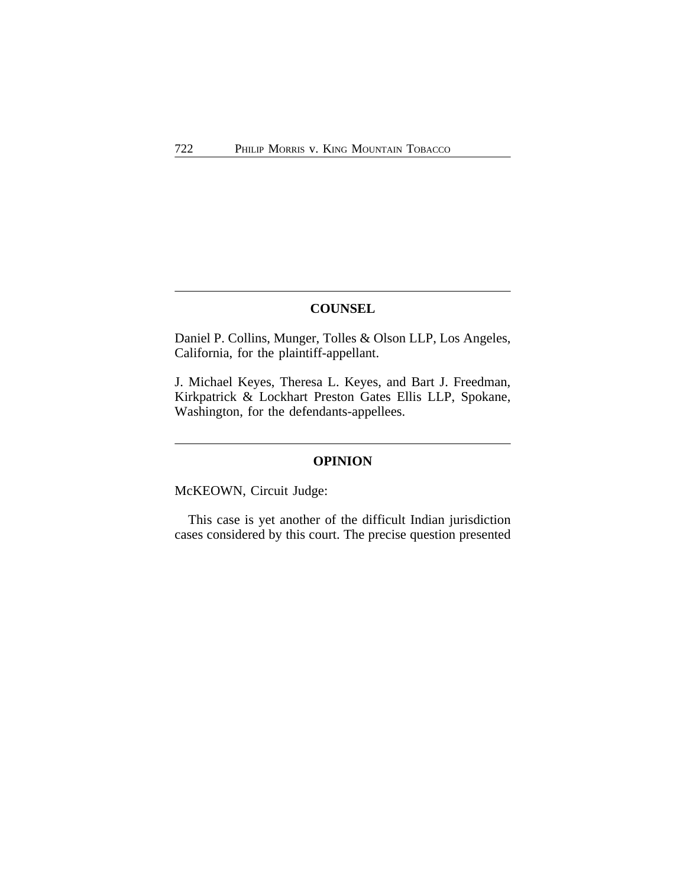# **COUNSEL**

Daniel P. Collins, Munger, Tolles & Olson LLP, Los Angeles, California, for the plaintiff-appellant.

J. Michael Keyes, Theresa L. Keyes, and Bart J. Freedman, Kirkpatrick & Lockhart Preston Gates Ellis LLP, Spokane, Washington, for the defendants-appellees.

## **OPINION**

McKEOWN, Circuit Judge:

This case is yet another of the difficult Indian jurisdiction cases considered by this court. The precise question presented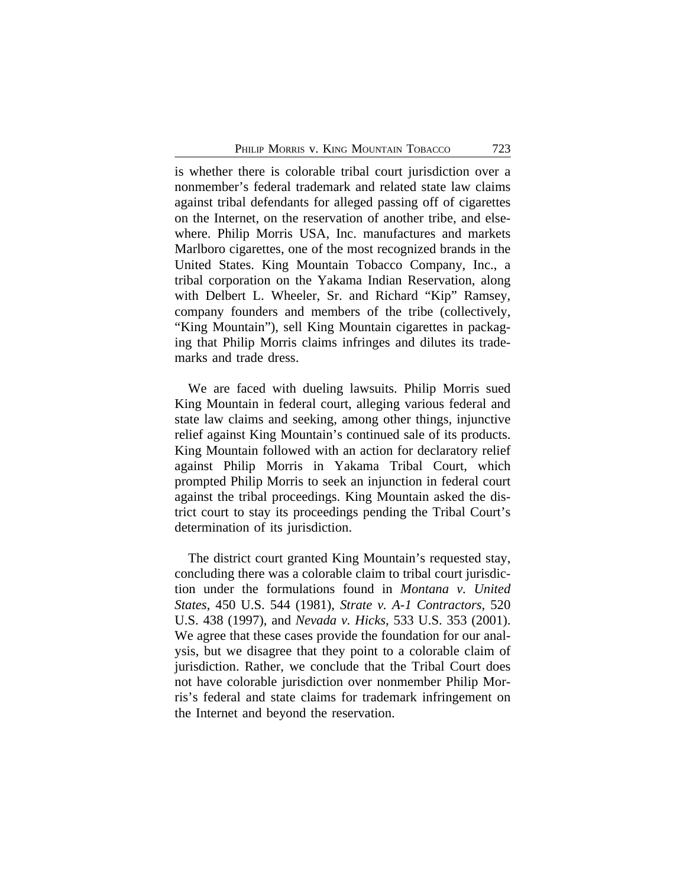is whether there is colorable tribal court jurisdiction over a nonmember's federal trademark and related state law claims against tribal defendants for alleged passing off of cigarettes on the Internet, on the reservation of another tribe, and elsewhere. Philip Morris USA, Inc. manufactures and markets Marlboro cigarettes, one of the most recognized brands in the United States. King Mountain Tobacco Company, Inc., a tribal corporation on the Yakama Indian Reservation, along with Delbert L. Wheeler, Sr. and Richard "Kip" Ramsey, company founders and members of the tribe (collectively, "King Mountain"), sell King Mountain cigarettes in packaging that Philip Morris claims infringes and dilutes its trademarks and trade dress.

We are faced with dueling lawsuits. Philip Morris sued King Mountain in federal court, alleging various federal and state law claims and seeking, among other things, injunctive relief against King Mountain's continued sale of its products. King Mountain followed with an action for declaratory relief against Philip Morris in Yakama Tribal Court, which prompted Philip Morris to seek an injunction in federal court against the tribal proceedings. King Mountain asked the district court to stay its proceedings pending the Tribal Court's determination of its jurisdiction.

The district court granted King Mountain's requested stay, concluding there was a colorable claim to tribal court jurisdiction under the formulations found in *Montana v. United States*, 450 U.S. 544 (1981), *Strate v. A-1 Contractors*, 520 U.S. 438 (1997), and *Nevada v. Hicks*, 533 U.S. 353 (2001). We agree that these cases provide the foundation for our analysis, but we disagree that they point to a colorable claim of jurisdiction. Rather, we conclude that the Tribal Court does not have colorable jurisdiction over nonmember Philip Morris's federal and state claims for trademark infringement on the Internet and beyond the reservation.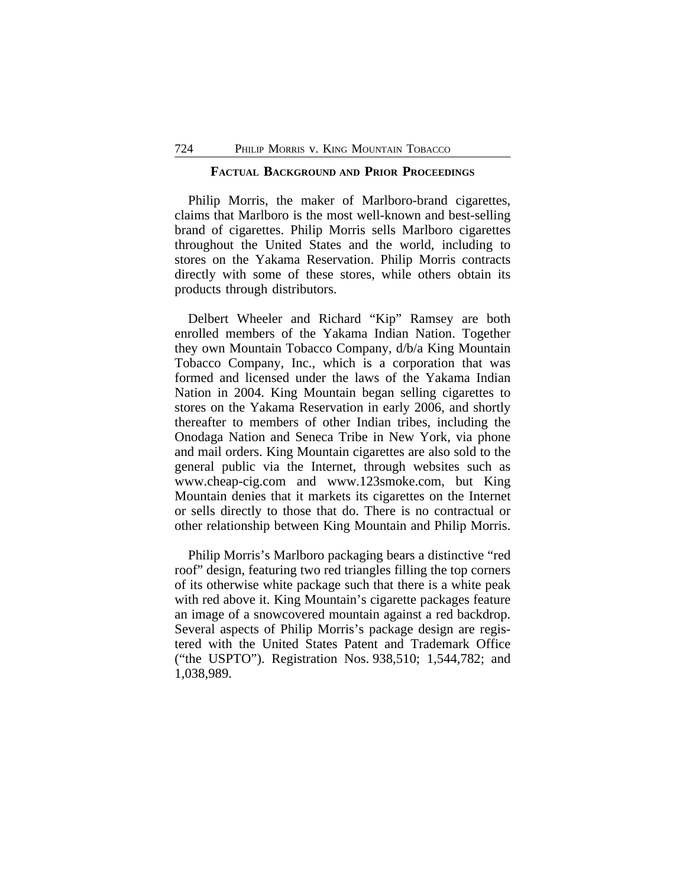#### **FACTUAL BACKGROUND AND PRIOR PROCEEDINGS**

Philip Morris, the maker of Marlboro-brand cigarettes, claims that Marlboro is the most well-known and best-selling brand of cigarettes. Philip Morris sells Marlboro cigarettes throughout the United States and the world, including to stores on the Yakama Reservation. Philip Morris contracts directly with some of these stores, while others obtain its products through distributors.

Delbert Wheeler and Richard "Kip" Ramsey are both enrolled members of the Yakama Indian Nation. Together they own Mountain Tobacco Company, d/b/a King Mountain Tobacco Company, Inc., which is a corporation that was formed and licensed under the laws of the Yakama Indian Nation in 2004. King Mountain began selling cigarettes to stores on the Yakama Reservation in early 2006, and shortly thereafter to members of other Indian tribes, including the Onodaga Nation and Seneca Tribe in New York, via phone and mail orders. King Mountain cigarettes are also sold to the general public via the Internet, through websites such as www.cheap-cig.com and www.123smoke.com, but King Mountain denies that it markets its cigarettes on the Internet or sells directly to those that do. There is no contractual or other relationship between King Mountain and Philip Morris.

Philip Morris's Marlboro packaging bears a distinctive "red roof" design, featuring two red triangles filling the top corners of its otherwise white package such that there is a white peak with red above it. King Mountain's cigarette packages feature an image of a snowcovered mountain against a red backdrop. Several aspects of Philip Morris's package design are registered with the United States Patent and Trademark Office ("the USPTO"). Registration Nos. 938,510; 1,544,782; and 1,038,989.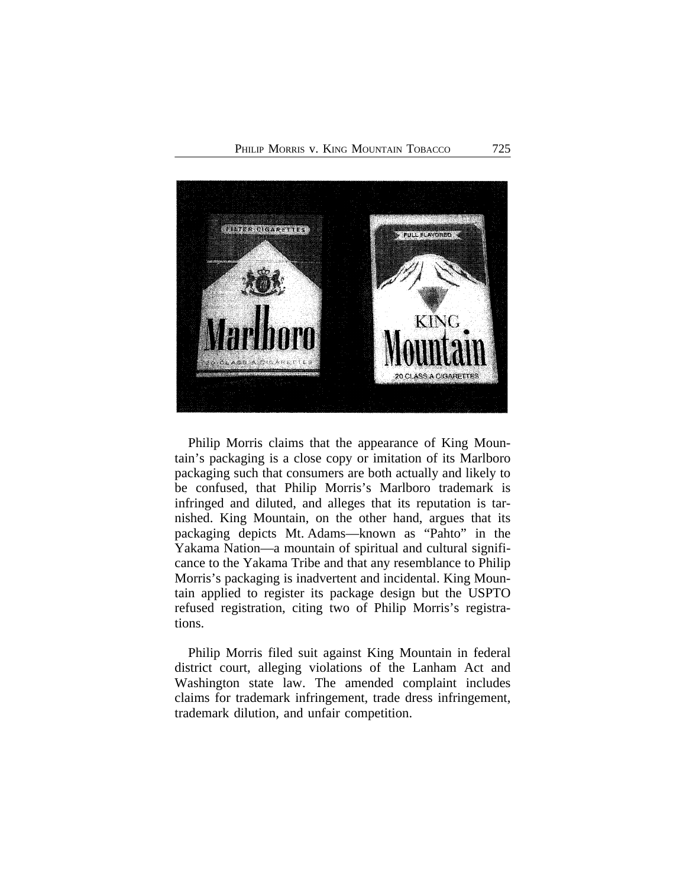

Philip Morris claims that the appearance of King Mountain's packaging is a close copy or imitation of its Marlboro packaging such that consumers are both actually and likely to be confused, that Philip Morris's Marlboro trademark is infringed and diluted, and alleges that its reputation is tarnished. King Mountain, on the other hand, argues that its packaging depicts Mt. Adams—known as "Pahto" in the Yakama Nation—a mountain of spiritual and cultural significance to the Yakama Tribe and that any resemblance to Philip Morris's packaging is inadvertent and incidental. King Mountain applied to register its package design but the USPTO refused registration, citing two of Philip Morris's registrations.

Philip Morris filed suit against King Mountain in federal district court, alleging violations of the Lanham Act and Washington state law. The amended complaint includes claims for trademark infringement, trade dress infringement, trademark dilution, and unfair competition.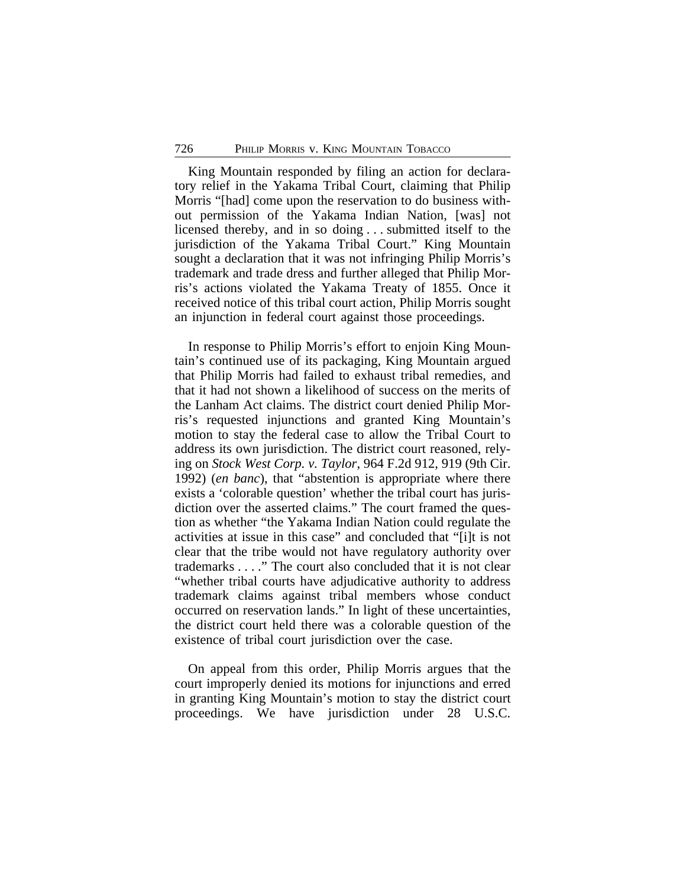King Mountain responded by filing an action for declaratory relief in the Yakama Tribal Court, claiming that Philip Morris "[had] come upon the reservation to do business without permission of the Yakama Indian Nation, [was] not licensed thereby, and in so doing . . . submitted itself to the jurisdiction of the Yakama Tribal Court." King Mountain sought a declaration that it was not infringing Philip Morris's trademark and trade dress and further alleged that Philip Morris's actions violated the Yakama Treaty of 1855. Once it received notice of this tribal court action, Philip Morris sought an injunction in federal court against those proceedings.

In response to Philip Morris's effort to enjoin King Mountain's continued use of its packaging, King Mountain argued that Philip Morris had failed to exhaust tribal remedies, and that it had not shown a likelihood of success on the merits of the Lanham Act claims. The district court denied Philip Morris's requested injunctions and granted King Mountain's motion to stay the federal case to allow the Tribal Court to address its own jurisdiction. The district court reasoned, relying on *Stock West Corp. v. Taylor*, 964 F.2d 912, 919 (9th Cir. 1992) (*en banc*), that "abstention is appropriate where there exists a 'colorable question' whether the tribal court has jurisdiction over the asserted claims." The court framed the question as whether "the Yakama Indian Nation could regulate the activities at issue in this case" and concluded that "[i]t is not clear that the tribe would not have regulatory authority over trademarks . . . ." The court also concluded that it is not clear "whether tribal courts have adjudicative authority to address trademark claims against tribal members whose conduct occurred on reservation lands." In light of these uncertainties, the district court held there was a colorable question of the existence of tribal court jurisdiction over the case.

On appeal from this order, Philip Morris argues that the court improperly denied its motions for injunctions and erred in granting King Mountain's motion to stay the district court proceedings. We have jurisdiction under 28 U.S.C.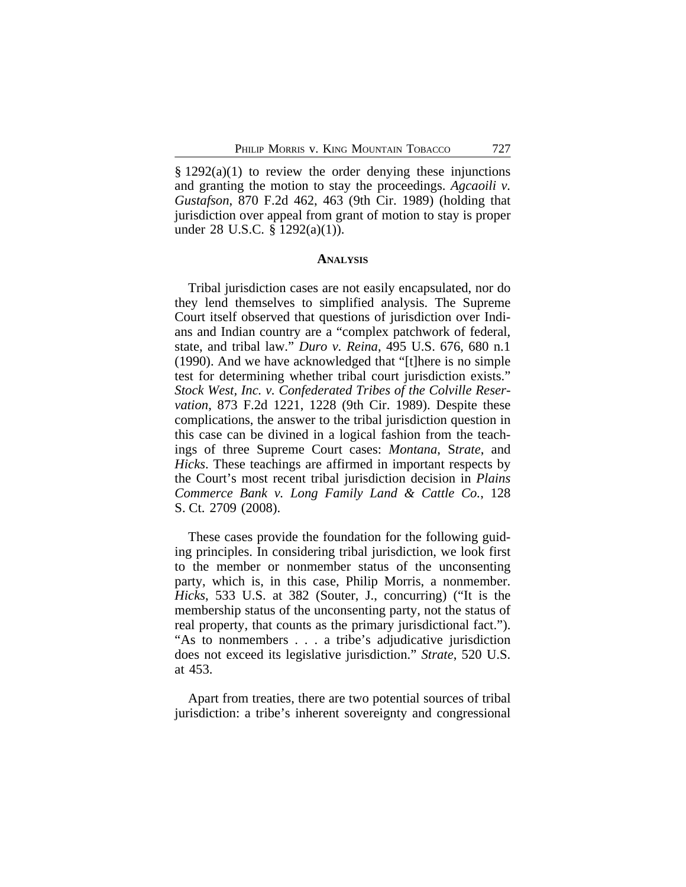$§ 1292(a)(1)$  to review the order denying these injunctions and granting the motion to stay the proceedings. *Agcaoili v. Gustafson*, 870 F.2d 462, 463 (9th Cir. 1989) (holding that jurisdiction over appeal from grant of motion to stay is proper under 28 U.S.C. § 1292(a)(1)).

#### **ANALYSIS**

Tribal jurisdiction cases are not easily encapsulated, nor do they lend themselves to simplified analysis. The Supreme Court itself observed that questions of jurisdiction over Indians and Indian country are a "complex patchwork of federal, state, and tribal law." *Duro v. Reina*, 495 U.S. 676, 680 n.1 (1990). And we have acknowledged that "[t]here is no simple test for determining whether tribal court jurisdiction exists." *Stock West, Inc. v. Confederated Tribes of the Colville Reservation*, 873 F.2d 1221, 1228 (9th Cir. 1989). Despite these complications, the answer to the tribal jurisdiction question in this case can be divined in a logical fashion from the teachings of three Supreme Court cases: *Montana*, S*trate*, and *Hicks*. These teachings are affirmed in important respects by the Court's most recent tribal jurisdiction decision in *Plains Commerce Bank v. Long Family Land & Cattle Co.*, 128 S. Ct. 2709 (2008).

These cases provide the foundation for the following guiding principles. In considering tribal jurisdiction, we look first to the member or nonmember status of the unconsenting party, which is, in this case, Philip Morris, a nonmember. *Hicks*, 533 U.S. at 382 (Souter, J., concurring) ("It is the membership status of the unconsenting party, not the status of real property, that counts as the primary jurisdictional fact."). "As to nonmembers . . . a tribe's adjudicative jurisdiction does not exceed its legislative jurisdiction." *Strate*, 520 U.S. at 453.

Apart from treaties, there are two potential sources of tribal jurisdiction: a tribe's inherent sovereignty and congressional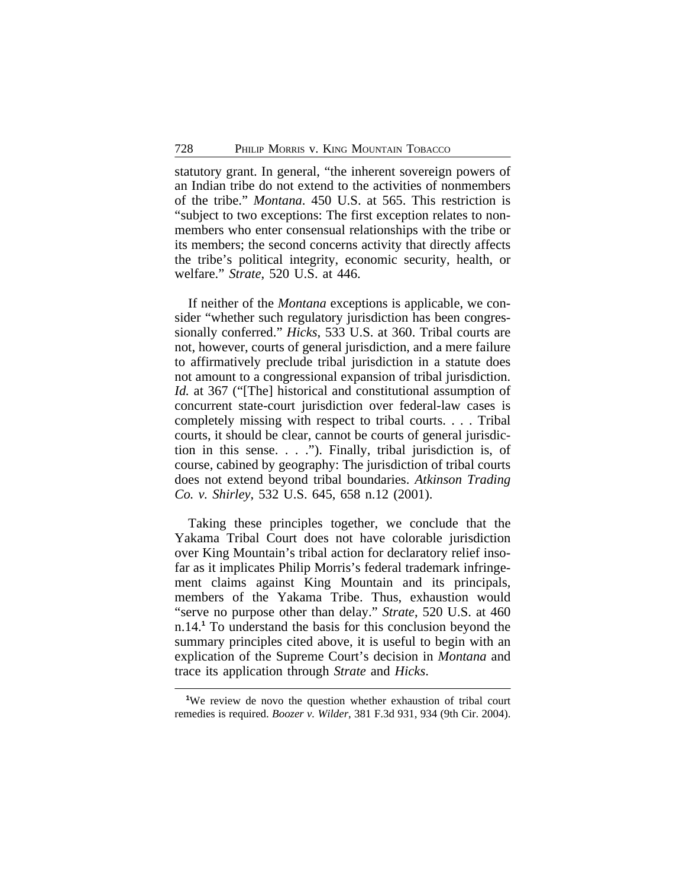statutory grant. In general, "the inherent sovereign powers of an Indian tribe do not extend to the activities of nonmembers of the tribe." *Montana*. 450 U.S. at 565. This restriction is "subject to two exceptions: The first exception relates to nonmembers who enter consensual relationships with the tribe or its members; the second concerns activity that directly affects the tribe's political integrity, economic security, health, or welfare." *Strate*, 520 U.S. at 446.

If neither of the *Montana* exceptions is applicable, we consider "whether such regulatory jurisdiction has been congressionally conferred." *Hicks*, 533 U.S. at 360. Tribal courts are not, however, courts of general jurisdiction, and a mere failure to affirmatively preclude tribal jurisdiction in a statute does not amount to a congressional expansion of tribal jurisdiction. *Id.* at 367 ("[The] historical and constitutional assumption of concurrent state-court jurisdiction over federal-law cases is completely missing with respect to tribal courts. . . . Tribal courts, it should be clear, cannot be courts of general jurisdiction in this sense. . . ."). Finally, tribal jurisdiction is, of course, cabined by geography: The jurisdiction of tribal courts does not extend beyond tribal boundaries. *Atkinson Trading Co. v. Shirley*, 532 U.S. 645, 658 n.12 (2001).

Taking these principles together, we conclude that the Yakama Tribal Court does not have colorable jurisdiction over King Mountain's tribal action for declaratory relief insofar as it implicates Philip Morris's federal trademark infringement claims against King Mountain and its principals, members of the Yakama Tribe. Thus, exhaustion would "serve no purpose other than delay." *Strate*, 520 U.S. at 460 n.14.**<sup>1</sup>** To understand the basis for this conclusion beyond the summary principles cited above, it is useful to begin with an explication of the Supreme Court's decision in *Montana* and trace its application through *Strate* and *Hicks*.

**<sup>1</sup>**We review de novo the question whether exhaustion of tribal court remedies is required. *Boozer v. Wilder*, 381 F.3d 931, 934 (9th Cir. 2004).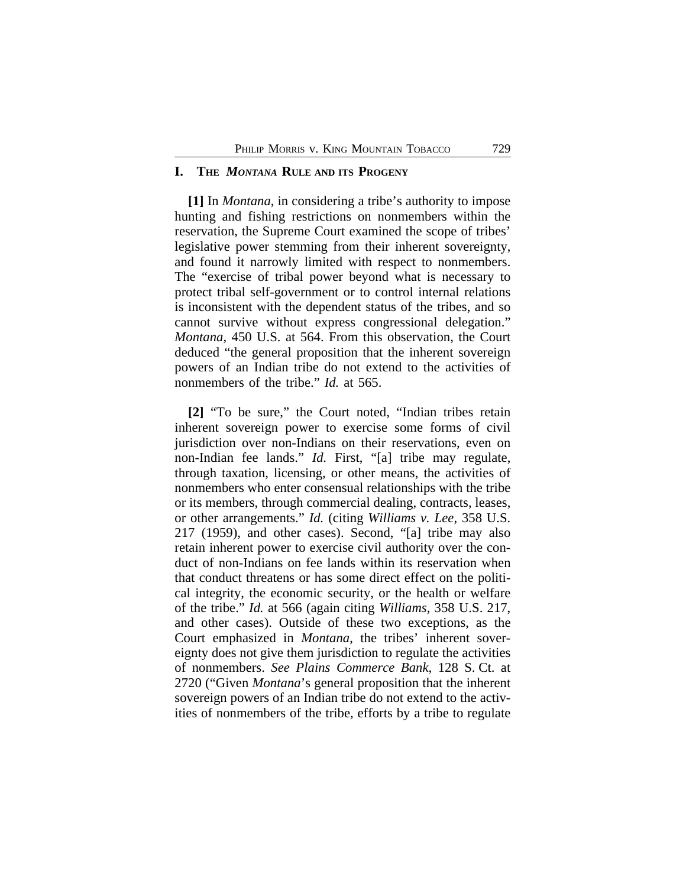### **I. THE** *MONTANA* **RULE AND ITS PROGENY**

**[1]** In *Montana*, in considering a tribe's authority to impose hunting and fishing restrictions on nonmembers within the reservation, the Supreme Court examined the scope of tribes' legislative power stemming from their inherent sovereignty, and found it narrowly limited with respect to nonmembers. The "exercise of tribal power beyond what is necessary to protect tribal self-government or to control internal relations is inconsistent with the dependent status of the tribes, and so cannot survive without express congressional delegation." *Montana*, 450 U.S. at 564. From this observation, the Court deduced "the general proposition that the inherent sovereign powers of an Indian tribe do not extend to the activities of nonmembers of the tribe." *Id.* at 565.

**[2]** "To be sure," the Court noted, "Indian tribes retain inherent sovereign power to exercise some forms of civil jurisdiction over non-Indians on their reservations, even on non-Indian fee lands." *Id.* First, "[a] tribe may regulate, through taxation, licensing, or other means, the activities of nonmembers who enter consensual relationships with the tribe or its members, through commercial dealing, contracts, leases, or other arrangements." *Id.* (citing *Williams v. Lee*, 358 U.S. 217 (1959), and other cases). Second, "[a] tribe may also retain inherent power to exercise civil authority over the conduct of non-Indians on fee lands within its reservation when that conduct threatens or has some direct effect on the political integrity, the economic security, or the health or welfare of the tribe." *Id.* at 566 (again citing *Williams*, 358 U.S. 217, and other cases). Outside of these two exceptions, as the Court emphasized in *Montana*, the tribes' inherent sovereignty does not give them jurisdiction to regulate the activities of nonmembers. *See Plains Commerce Bank*, 128 S. Ct. at 2720 ("Given *Montana*'s general proposition that the inherent sovereign powers of an Indian tribe do not extend to the activities of nonmembers of the tribe, efforts by a tribe to regulate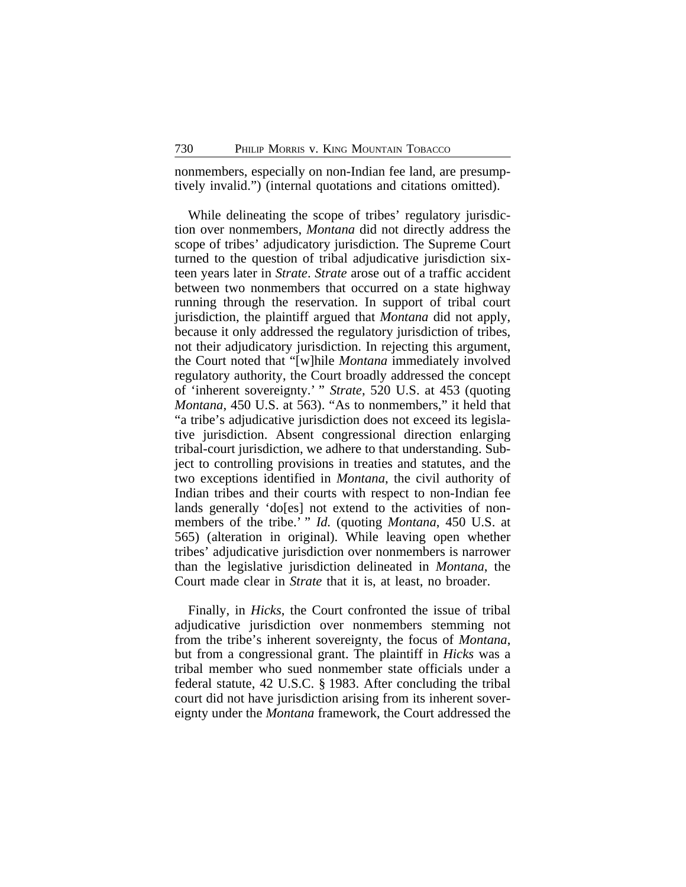nonmembers, especially on non-Indian fee land, are presumptively invalid.") (internal quotations and citations omitted).

While delineating the scope of tribes' regulatory jurisdiction over nonmembers, *Montana* did not directly address the scope of tribes' adjudicatory jurisdiction. The Supreme Court turned to the question of tribal adjudicative jurisdiction sixteen years later in *Strate*. *Strate* arose out of a traffic accident between two nonmembers that occurred on a state highway running through the reservation. In support of tribal court jurisdiction, the plaintiff argued that *Montana* did not apply, because it only addressed the regulatory jurisdiction of tribes, not their adjudicatory jurisdiction. In rejecting this argument, the Court noted that "[w]hile *Montana* immediately involved regulatory authority, the Court broadly addressed the concept of 'inherent sovereignty.' " *Strate*, 520 U.S. at 453 (quoting *Montana*, 450 U.S. at 563). "As to nonmembers," it held that "a tribe's adjudicative jurisdiction does not exceed its legislative jurisdiction. Absent congressional direction enlarging tribal-court jurisdiction, we adhere to that understanding. Subject to controlling provisions in treaties and statutes, and the two exceptions identified in *Montana*, the civil authority of Indian tribes and their courts with respect to non-Indian fee lands generally 'do[es] not extend to the activities of nonmembers of the tribe.' " *Id.* (quoting *Montana*, 450 U.S. at 565) (alteration in original). While leaving open whether tribes' adjudicative jurisdiction over nonmembers is narrower than the legislative jurisdiction delineated in *Montana*, the Court made clear in *Strate* that it is, at least, no broader.

Finally, in *Hicks*, the Court confronted the issue of tribal adjudicative jurisdiction over nonmembers stemming not from the tribe's inherent sovereignty, the focus of *Montana*, but from a congressional grant. The plaintiff in *Hicks* was a tribal member who sued nonmember state officials under a federal statute, 42 U.S.C. § 1983. After concluding the tribal court did not have jurisdiction arising from its inherent sovereignty under the *Montana* framework, the Court addressed the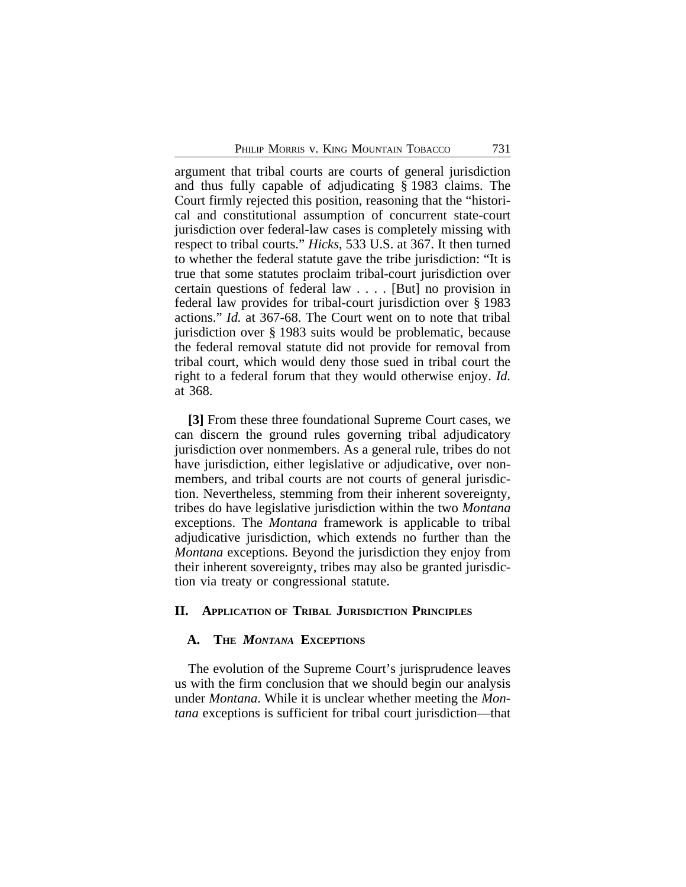argument that tribal courts are courts of general jurisdiction and thus fully capable of adjudicating § 1983 claims. The Court firmly rejected this position, reasoning that the "historical and constitutional assumption of concurrent state-court jurisdiction over federal-law cases is completely missing with respect to tribal courts." *Hicks*, 533 U.S. at 367. It then turned to whether the federal statute gave the tribe jurisdiction: "It is true that some statutes proclaim tribal-court jurisdiction over certain questions of federal law . . . . [But] no provision in federal law provides for tribal-court jurisdiction over § 1983 actions." *Id.* at 367-68. The Court went on to note that tribal jurisdiction over § 1983 suits would be problematic, because the federal removal statute did not provide for removal from tribal court, which would deny those sued in tribal court the right to a federal forum that they would otherwise enjoy. *Id.* at 368.

**[3]** From these three foundational Supreme Court cases, we can discern the ground rules governing tribal adjudicatory jurisdiction over nonmembers. As a general rule, tribes do not have jurisdiction, either legislative or adjudicative, over nonmembers, and tribal courts are not courts of general jurisdiction. Nevertheless, stemming from their inherent sovereignty, tribes do have legislative jurisdiction within the two *Montana* exceptions. The *Montana* framework is applicable to tribal adjudicative jurisdiction, which extends no further than the *Montana* exceptions. Beyond the jurisdiction they enjoy from their inherent sovereignty, tribes may also be granted jurisdiction via treaty or congressional statute.

## **II. APPLICATION OF TRIBAL JURISDICTION PRINCIPLES**

# **A. THE** *MONTANA* **EXCEPTIONS**

The evolution of the Supreme Court's jurisprudence leaves us with the firm conclusion that we should begin our analysis under *Montana*. While it is unclear whether meeting the *Montana* exceptions is sufficient for tribal court jurisdiction—that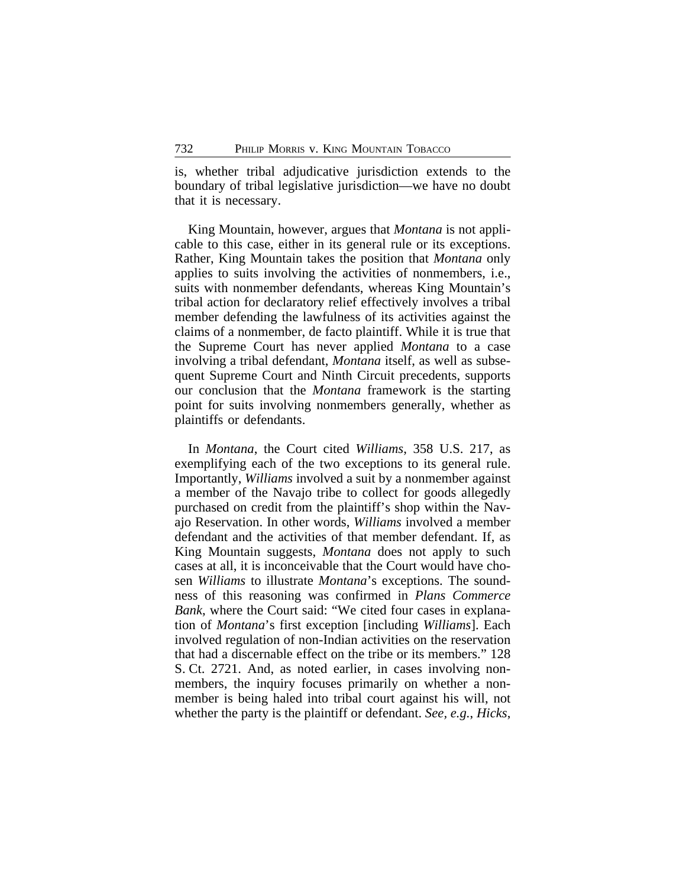is, whether tribal adjudicative jurisdiction extends to the boundary of tribal legislative jurisdiction—we have no doubt that it is necessary.

King Mountain, however, argues that *Montana* is not applicable to this case, either in its general rule or its exceptions. Rather, King Mountain takes the position that *Montana* only applies to suits involving the activities of nonmembers, i.e., suits with nonmember defendants, whereas King Mountain's tribal action for declaratory relief effectively involves a tribal member defending the lawfulness of its activities against the claims of a nonmember, de facto plaintiff. While it is true that the Supreme Court has never applied *Montana* to a case involving a tribal defendant, *Montana* itself, as well as subsequent Supreme Court and Ninth Circuit precedents, supports our conclusion that the *Montana* framework is the starting point for suits involving nonmembers generally, whether as plaintiffs or defendants.

In *Montana*, the Court cited *Williams*, 358 U.S. 217, as exemplifying each of the two exceptions to its general rule. Importantly, *Williams* involved a suit by a nonmember against a member of the Navajo tribe to collect for goods allegedly purchased on credit from the plaintiff's shop within the Navajo Reservation. In other words, *Williams* involved a member defendant and the activities of that member defendant. If, as King Mountain suggests, *Montana* does not apply to such cases at all, it is inconceivable that the Court would have chosen *Williams* to illustrate *Montana*'s exceptions. The soundness of this reasoning was confirmed in *Plans Commerce Bank*, where the Court said: "We cited four cases in explanation of *Montana*'s first exception [including *Williams*]. Each involved regulation of non-Indian activities on the reservation that had a discernable effect on the tribe or its members." 128 S. Ct. 2721. And, as noted earlier, in cases involving nonmembers, the inquiry focuses primarily on whether a nonmember is being haled into tribal court against his will, not whether the party is the plaintiff or defendant. *See, e.g.*, *Hicks*,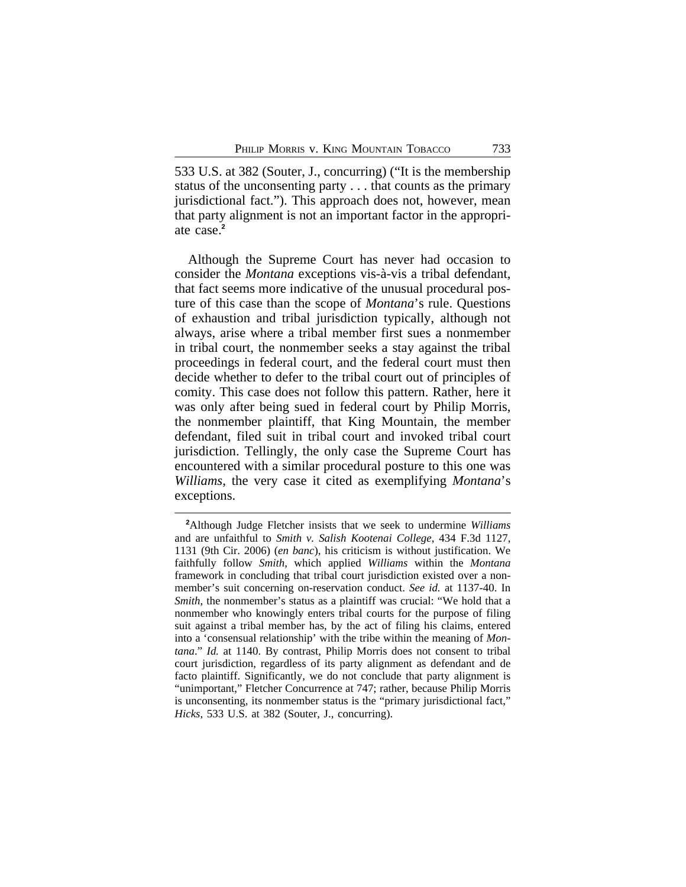533 U.S. at 382 (Souter, J., concurring) ("It is the membership status of the unconsenting party . . . that counts as the primary jurisdictional fact."). This approach does not, however, mean that party alignment is not an important factor in the appropriate case.**<sup>2</sup>**

Although the Supreme Court has never had occasion to consider the *Montana* exceptions vis-à-vis a tribal defendant, that fact seems more indicative of the unusual procedural posture of this case than the scope of *Montana*'s rule. Questions of exhaustion and tribal jurisdiction typically, although not always, arise where a tribal member first sues a nonmember in tribal court, the nonmember seeks a stay against the tribal proceedings in federal court, and the federal court must then decide whether to defer to the tribal court out of principles of comity. This case does not follow this pattern. Rather, here it was only after being sued in federal court by Philip Morris, the nonmember plaintiff, that King Mountain, the member defendant, filed suit in tribal court and invoked tribal court jurisdiction. Tellingly, the only case the Supreme Court has encountered with a similar procedural posture to this one was *Williams*, the very case it cited as exemplifying *Montana*'s exceptions.

**<sup>2</sup>**Although Judge Fletcher insists that we seek to undermine *Williams* and are unfaithful to *Smith v. Salish Kootenai College*, 434 F.3d 1127, 1131 (9th Cir. 2006) (*en banc*), his criticism is without justification. We faithfully follow *Smith*, which applied *Williams* within the *Montana* framework in concluding that tribal court jurisdiction existed over a nonmember's suit concerning on-reservation conduct. *See id.* at 1137-40. In *Smith*, the nonmember's status as a plaintiff was crucial: "We hold that a nonmember who knowingly enters tribal courts for the purpose of filing suit against a tribal member has, by the act of filing his claims, entered into a 'consensual relationship' with the tribe within the meaning of *Montana*." *Id.* at 1140. By contrast, Philip Morris does not consent to tribal court jurisdiction, regardless of its party alignment as defendant and de facto plaintiff. Significantly, we do not conclude that party alignment is "unimportant," Fletcher Concurrence at 747; rather, because Philip Morris is unconsenting, its nonmember status is the "primary jurisdictional fact," *Hicks*, 533 U.S. at 382 (Souter, J., concurring).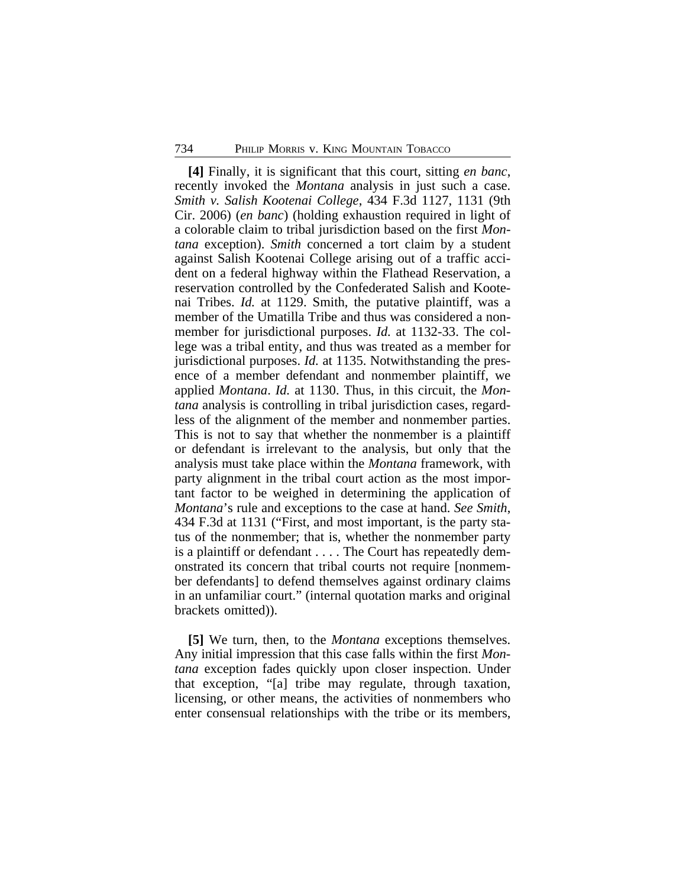**[4]** Finally, it is significant that this court, sitting *en banc*, recently invoked the *Montana* analysis in just such a case. *Smith v. Salish Kootenai College*, 434 F.3d 1127, 1131 (9th Cir. 2006) (*en banc*) (holding exhaustion required in light of a colorable claim to tribal jurisdiction based on the first *Montana* exception). *Smith* concerned a tort claim by a student against Salish Kootenai College arising out of a traffic accident on a federal highway within the Flathead Reservation, a reservation controlled by the Confederated Salish and Kootenai Tribes. *Id.* at 1129. Smith, the putative plaintiff, was a member of the Umatilla Tribe and thus was considered a nonmember for jurisdictional purposes. *Id.* at 1132-33. The college was a tribal entity, and thus was treated as a member for jurisdictional purposes. *Id.* at 1135. Notwithstanding the presence of a member defendant and nonmember plaintiff, we applied *Montana*. *Id.* at 1130. Thus, in this circuit, the *Montana* analysis is controlling in tribal jurisdiction cases, regardless of the alignment of the member and nonmember parties. This is not to say that whether the nonmember is a plaintiff or defendant is irrelevant to the analysis, but only that the analysis must take place within the *Montana* framework, with party alignment in the tribal court action as the most important factor to be weighed in determining the application of *Montana*'s rule and exceptions to the case at hand. *See Smith*, 434 F.3d at 1131 ("First, and most important, is the party status of the nonmember; that is, whether the nonmember party is a plaintiff or defendant . . . . The Court has repeatedly demonstrated its concern that tribal courts not require [nonmember defendants] to defend themselves against ordinary claims in an unfamiliar court." (internal quotation marks and original brackets omitted)).

**[5]** We turn, then, to the *Montana* exceptions themselves. Any initial impression that this case falls within the first *Montana* exception fades quickly upon closer inspection. Under that exception, "[a] tribe may regulate, through taxation, licensing, or other means, the activities of nonmembers who enter consensual relationships with the tribe or its members,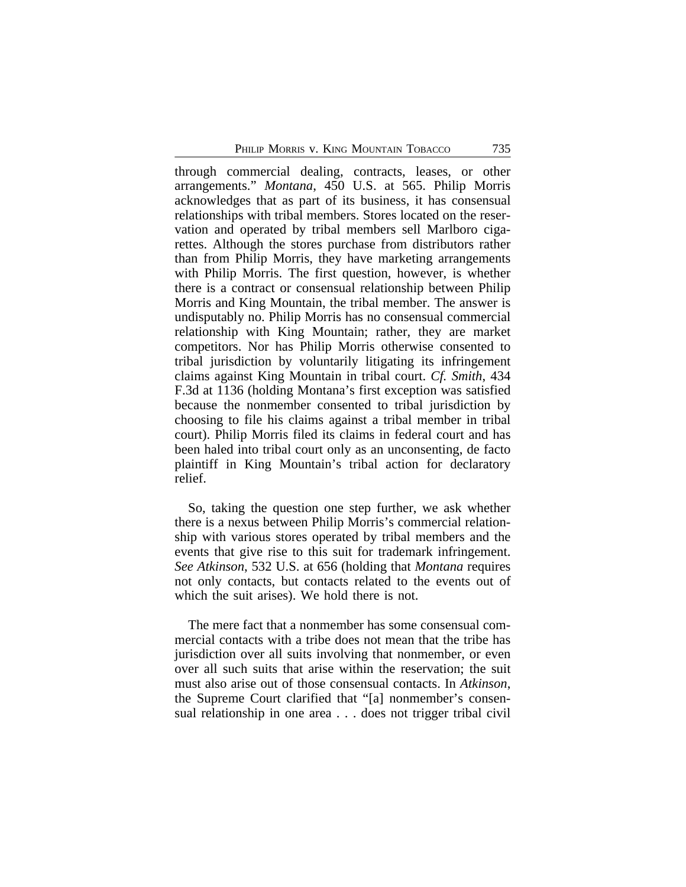through commercial dealing, contracts, leases, or other arrangements." *Montana*, 450 U.S. at 565. Philip Morris acknowledges that as part of its business, it has consensual relationships with tribal members. Stores located on the reservation and operated by tribal members sell Marlboro cigarettes. Although the stores purchase from distributors rather than from Philip Morris, they have marketing arrangements with Philip Morris. The first question, however, is whether there is a contract or consensual relationship between Philip Morris and King Mountain, the tribal member. The answer is undisputably no. Philip Morris has no consensual commercial relationship with King Mountain; rather, they are market competitors. Nor has Philip Morris otherwise consented to tribal jurisdiction by voluntarily litigating its infringement claims against King Mountain in tribal court. *Cf. Smith*, 434 F.3d at 1136 (holding Montana's first exception was satisfied because the nonmember consented to tribal jurisdiction by choosing to file his claims against a tribal member in tribal court). Philip Morris filed its claims in federal court and has been haled into tribal court only as an unconsenting, de facto plaintiff in King Mountain's tribal action for declaratory relief.

So, taking the question one step further, we ask whether there is a nexus between Philip Morris's commercial relationship with various stores operated by tribal members and the events that give rise to this suit for trademark infringement. *See Atkinson*, 532 U.S. at 656 (holding that *Montana* requires not only contacts, but contacts related to the events out of which the suit arises). We hold there is not.

The mere fact that a nonmember has some consensual commercial contacts with a tribe does not mean that the tribe has jurisdiction over all suits involving that nonmember, or even over all such suits that arise within the reservation; the suit must also arise out of those consensual contacts. In *Atkinson*, the Supreme Court clarified that "[a] nonmember's consensual relationship in one area . . . does not trigger tribal civil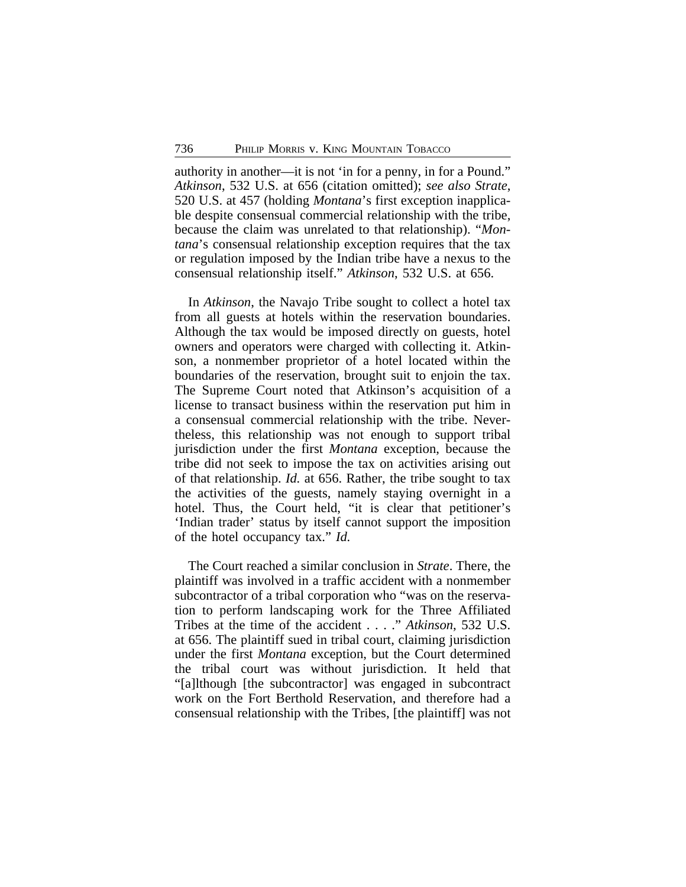authority in another—it is not 'in for a penny, in for a Pound." *Atkinson*, 532 U.S. at 656 (citation omitted); *see also Strate*, 520 U.S. at 457 (holding *Montana*'s first exception inapplicable despite consensual commercial relationship with the tribe, because the claim was unrelated to that relationship). "*Montana*'s consensual relationship exception requires that the tax or regulation imposed by the Indian tribe have a nexus to the consensual relationship itself." *Atkinson*, 532 U.S. at 656.

In *Atkinson*, the Navajo Tribe sought to collect a hotel tax from all guests at hotels within the reservation boundaries. Although the tax would be imposed directly on guests, hotel owners and operators were charged with collecting it. Atkinson, a nonmember proprietor of a hotel located within the boundaries of the reservation, brought suit to enjoin the tax. The Supreme Court noted that Atkinson's acquisition of a license to transact business within the reservation put him in a consensual commercial relationship with the tribe. Nevertheless, this relationship was not enough to support tribal jurisdiction under the first *Montana* exception, because the tribe did not seek to impose the tax on activities arising out of that relationship. *Id.* at 656. Rather, the tribe sought to tax the activities of the guests, namely staying overnight in a hotel. Thus, the Court held, "it is clear that petitioner's 'Indian trader' status by itself cannot support the imposition of the hotel occupancy tax." *Id.*

The Court reached a similar conclusion in *Strate*. There, the plaintiff was involved in a traffic accident with a nonmember subcontractor of a tribal corporation who "was on the reservation to perform landscaping work for the Three Affiliated Tribes at the time of the accident . . . ." *Atkinson*, 532 U.S. at 656. The plaintiff sued in tribal court, claiming jurisdiction under the first *Montana* exception, but the Court determined the tribal court was without jurisdiction. It held that "[a]lthough [the subcontractor] was engaged in subcontract work on the Fort Berthold Reservation, and therefore had a consensual relationship with the Tribes, [the plaintiff] was not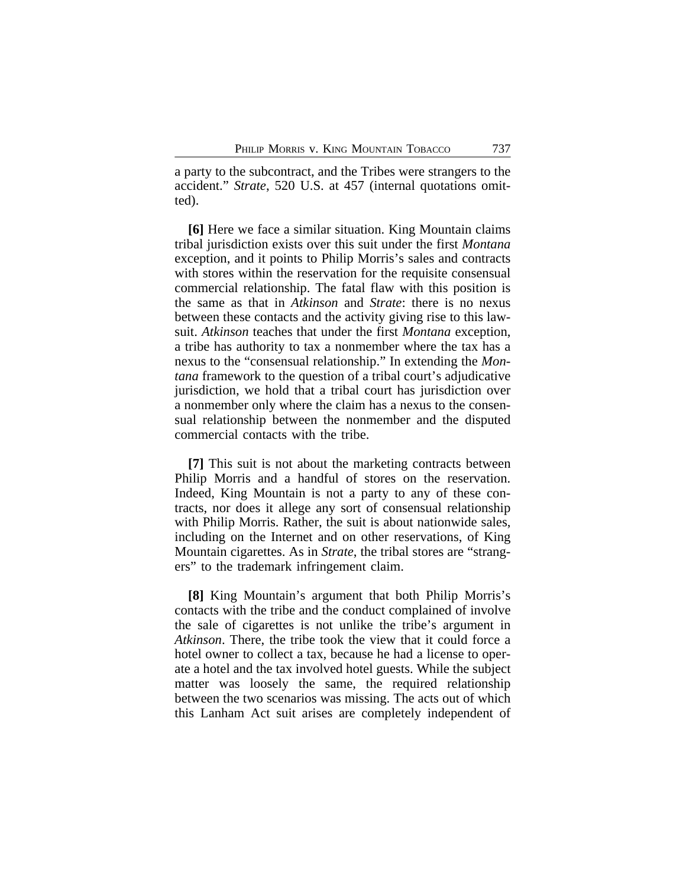a party to the subcontract, and the Tribes were strangers to the accident." *Strate*, 520 U.S. at 457 (internal quotations omitted).

**[6]** Here we face a similar situation. King Mountain claims tribal jurisdiction exists over this suit under the first *Montana* exception, and it points to Philip Morris's sales and contracts with stores within the reservation for the requisite consensual commercial relationship. The fatal flaw with this position is the same as that in *Atkinson* and *Strate*: there is no nexus between these contacts and the activity giving rise to this lawsuit. *Atkinson* teaches that under the first *Montana* exception, a tribe has authority to tax a nonmember where the tax has a nexus to the "consensual relationship." In extending the *Montana* framework to the question of a tribal court's adjudicative jurisdiction, we hold that a tribal court has jurisdiction over a nonmember only where the claim has a nexus to the consensual relationship between the nonmember and the disputed commercial contacts with the tribe.

**[7]** This suit is not about the marketing contracts between Philip Morris and a handful of stores on the reservation. Indeed, King Mountain is not a party to any of these contracts, nor does it allege any sort of consensual relationship with Philip Morris. Rather, the suit is about nationwide sales, including on the Internet and on other reservations, of King Mountain cigarettes. As in *Strate*, the tribal stores are "strangers" to the trademark infringement claim.

**[8]** King Mountain's argument that both Philip Morris's contacts with the tribe and the conduct complained of involve the sale of cigarettes is not unlike the tribe's argument in *Atkinson*. There, the tribe took the view that it could force a hotel owner to collect a tax, because he had a license to operate a hotel and the tax involved hotel guests. While the subject matter was loosely the same, the required relationship between the two scenarios was missing. The acts out of which this Lanham Act suit arises are completely independent of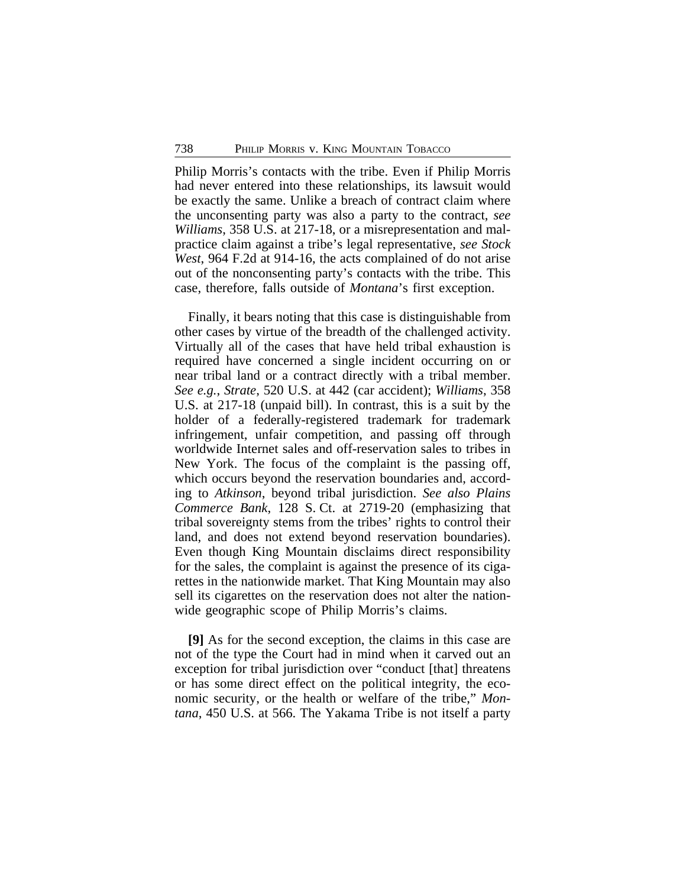Philip Morris's contacts with the tribe. Even if Philip Morris had never entered into these relationships, its lawsuit would be exactly the same. Unlike a breach of contract claim where the unconsenting party was also a party to the contract, *see Williams*, 358 U.S. at 217-18, or a misrepresentation and malpractice claim against a tribe's legal representative, *see Stock West*, 964 F.2d at 914-16, the acts complained of do not arise out of the nonconsenting party's contacts with the tribe. This case, therefore, falls outside of *Montana*'s first exception.

Finally, it bears noting that this case is distinguishable from other cases by virtue of the breadth of the challenged activity. Virtually all of the cases that have held tribal exhaustion is required have concerned a single incident occurring on or near tribal land or a contract directly with a tribal member. *See e.g.*, *Strate*, 520 U.S. at 442 (car accident); *Williams*, 358 U.S. at 217-18 (unpaid bill). In contrast, this is a suit by the holder of a federally-registered trademark for trademark infringement, unfair competition, and passing off through worldwide Internet sales and off-reservation sales to tribes in New York. The focus of the complaint is the passing off, which occurs beyond the reservation boundaries and, according to *Atkinson*, beyond tribal jurisdiction. *See also Plains Commerce Bank*, 128 S. Ct. at 2719-20 (emphasizing that tribal sovereignty stems from the tribes' rights to control their land, and does not extend beyond reservation boundaries). Even though King Mountain disclaims direct responsibility for the sales, the complaint is against the presence of its cigarettes in the nationwide market. That King Mountain may also sell its cigarettes on the reservation does not alter the nationwide geographic scope of Philip Morris's claims.

**[9]** As for the second exception, the claims in this case are not of the type the Court had in mind when it carved out an exception for tribal jurisdiction over "conduct [that] threatens or has some direct effect on the political integrity, the economic security, or the health or welfare of the tribe," *Montana*, 450 U.S. at 566. The Yakama Tribe is not itself a party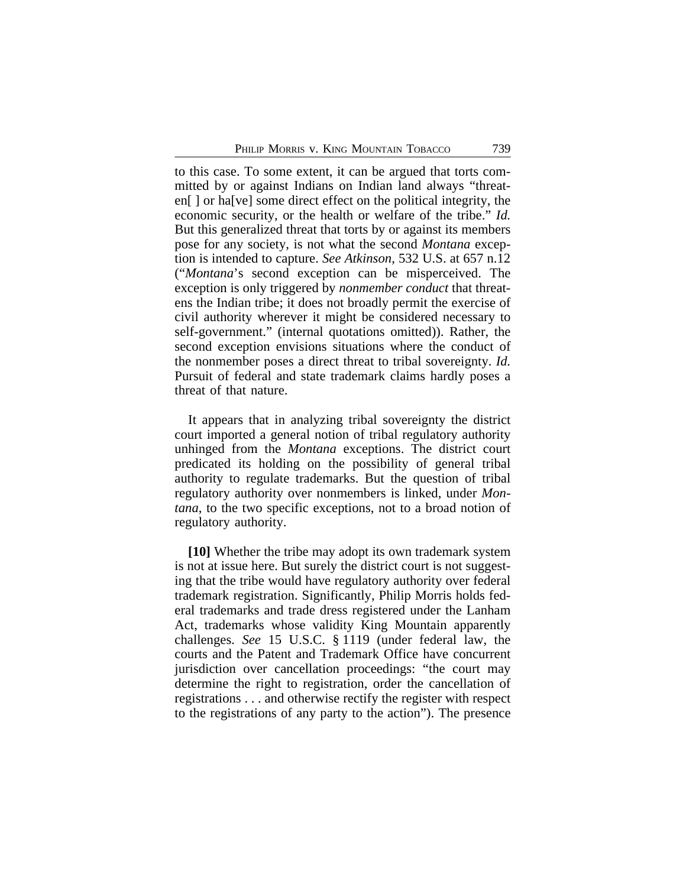to this case. To some extent, it can be argued that torts committed by or against Indians on Indian land always "threaten[ ] or ha[ve] some direct effect on the political integrity, the economic security, or the health or welfare of the tribe." *Id.* But this generalized threat that torts by or against its members pose for any society, is not what the second *Montana* exception is intended to capture. *See Atkinson*, 532 U.S. at 657 n.12 ("*Montana*'s second exception can be misperceived. The exception is only triggered by *nonmember conduct* that threatens the Indian tribe; it does not broadly permit the exercise of civil authority wherever it might be considered necessary to self-government." (internal quotations omitted)). Rather, the second exception envisions situations where the conduct of the nonmember poses a direct threat to tribal sovereignty. *Id.* Pursuit of federal and state trademark claims hardly poses a threat of that nature.

It appears that in analyzing tribal sovereignty the district court imported a general notion of tribal regulatory authority unhinged from the *Montana* exceptions. The district court predicated its holding on the possibility of general tribal authority to regulate trademarks. But the question of tribal regulatory authority over nonmembers is linked, under *Montana*, to the two specific exceptions, not to a broad notion of regulatory authority.

**[10]** Whether the tribe may adopt its own trademark system is not at issue here. But surely the district court is not suggesting that the tribe would have regulatory authority over federal trademark registration. Significantly, Philip Morris holds federal trademarks and trade dress registered under the Lanham Act, trademarks whose validity King Mountain apparently challenges. *See* 15 U.S.C. § 1119 (under federal law, the courts and the Patent and Trademark Office have concurrent jurisdiction over cancellation proceedings: "the court may determine the right to registration, order the cancellation of registrations . . . and otherwise rectify the register with respect to the registrations of any party to the action"). The presence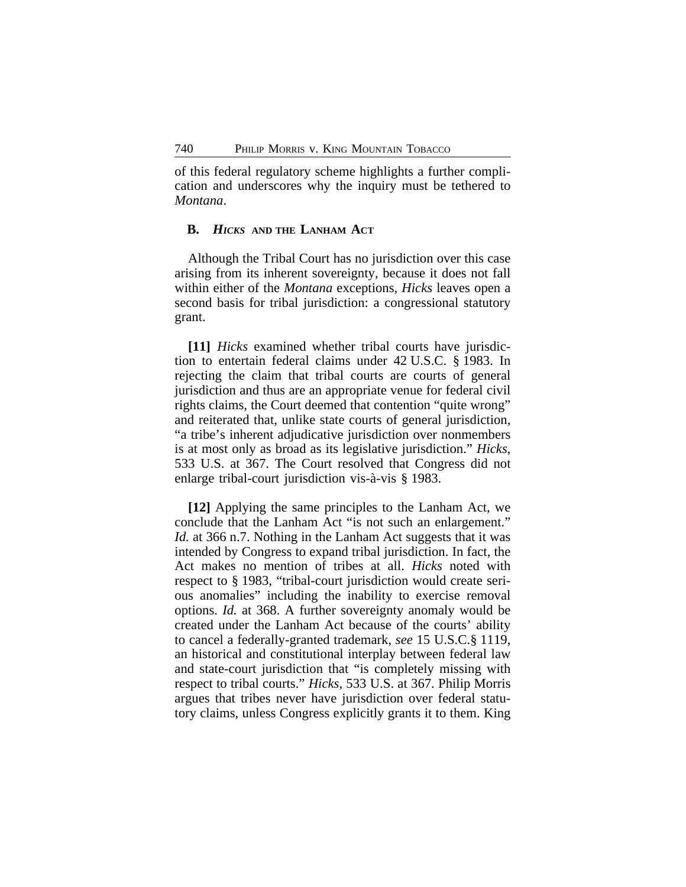of this federal regulatory scheme highlights a further complication and underscores why the inquiry must be tethered to *Montana*.

### **B.** *HICKS* **AND THE LANHAM ACT**

Although the Tribal Court has no jurisdiction over this case arising from its inherent sovereignty, because it does not fall within either of the *Montana* exceptions, *Hicks* leaves open a second basis for tribal jurisdiction: a congressional statutory grant.

**[11]** *Hicks* examined whether tribal courts have jurisdiction to entertain federal claims under 42 U.S.C. § 1983. In rejecting the claim that tribal courts are courts of general jurisdiction and thus are an appropriate venue for federal civil rights claims, the Court deemed that contention "quite wrong" and reiterated that, unlike state courts of general jurisdiction, "a tribe's inherent adjudicative jurisdiction over nonmembers is at most only as broad as its legislative jurisdiction." *Hicks*, 533 U.S. at 367. The Court resolved that Congress did not enlarge tribal-court jurisdiction vis-à-vis § 1983.

**[12]** Applying the same principles to the Lanham Act, we conclude that the Lanham Act "is not such an enlargement." *Id.* at 366 n.7. Nothing in the Lanham Act suggests that it was intended by Congress to expand tribal jurisdiction. In fact, the Act makes no mention of tribes at all. *Hicks* noted with respect to § 1983, "tribal-court jurisdiction would create serious anomalies" including the inability to exercise removal options. *Id.* at 368. A further sovereignty anomaly would be created under the Lanham Act because of the courts' ability to cancel a federally-granted trademark, *see* 15 U.S.C.§ 1119, an historical and constitutional interplay between federal law and state-court jurisdiction that "is completely missing with respect to tribal courts." *Hicks*, 533 U.S. at 367. Philip Morris argues that tribes never have jurisdiction over federal statutory claims, unless Congress explicitly grants it to them. King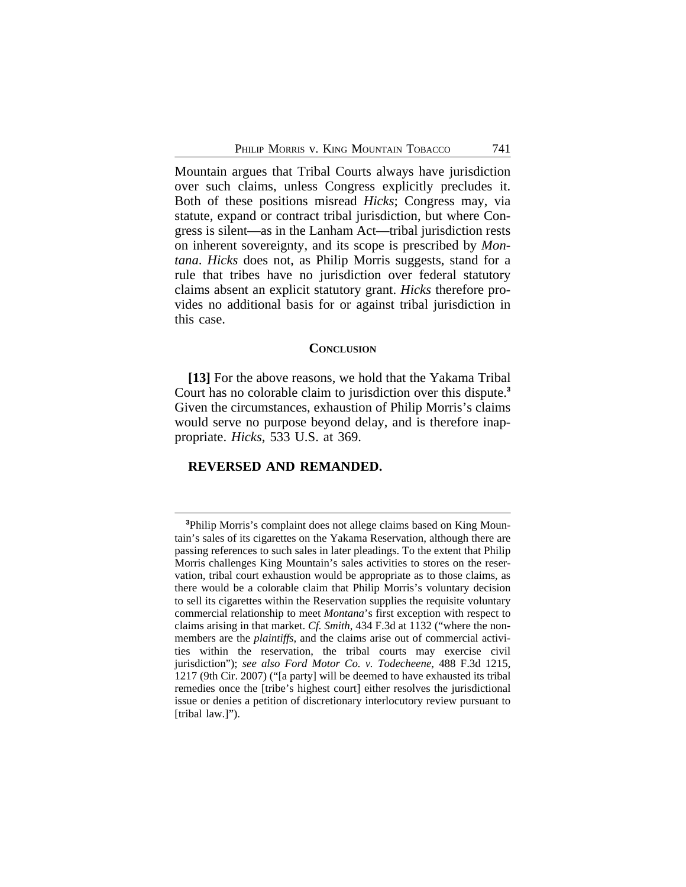Mountain argues that Tribal Courts always have jurisdiction over such claims, unless Congress explicitly precludes it. Both of these positions misread *Hicks*; Congress may, via statute, expand or contract tribal jurisdiction, but where Congress is silent—as in the Lanham Act—tribal jurisdiction rests on inherent sovereignty, and its scope is prescribed by *Montana*. *Hicks* does not, as Philip Morris suggests, stand for a rule that tribes have no jurisdiction over federal statutory claims absent an explicit statutory grant. *Hicks* therefore provides no additional basis for or against tribal jurisdiction in this case.

#### **CONCLUSION**

**[13]** For the above reasons, we hold that the Yakama Tribal Court has no colorable claim to jurisdiction over this dispute.**<sup>3</sup>** Given the circumstances, exhaustion of Philip Morris's claims would serve no purpose beyond delay, and is therefore inappropriate. *Hicks*, 533 U.S. at 369.

#### **REVERSED AND REMANDED.**

**<sup>3</sup>**Philip Morris's complaint does not allege claims based on King Mountain's sales of its cigarettes on the Yakama Reservation, although there are passing references to such sales in later pleadings. To the extent that Philip Morris challenges King Mountain's sales activities to stores on the reservation, tribal court exhaustion would be appropriate as to those claims, as there would be a colorable claim that Philip Morris's voluntary decision to sell its cigarettes within the Reservation supplies the requisite voluntary commercial relationship to meet *Montana*'s first exception with respect to claims arising in that market. *Cf. Smith*, 434 F.3d at 1132 ("where the nonmembers are the *plaintiffs*, and the claims arise out of commercial activities within the reservation, the tribal courts may exercise civil jurisdiction"); *see also Ford Motor Co. v. Todecheene*, 488 F.3d 1215, 1217 (9th Cir. 2007) ("[a party] will be deemed to have exhausted its tribal remedies once the [tribe's highest court] either resolves the jurisdictional issue or denies a petition of discretionary interlocutory review pursuant to [tribal law.]").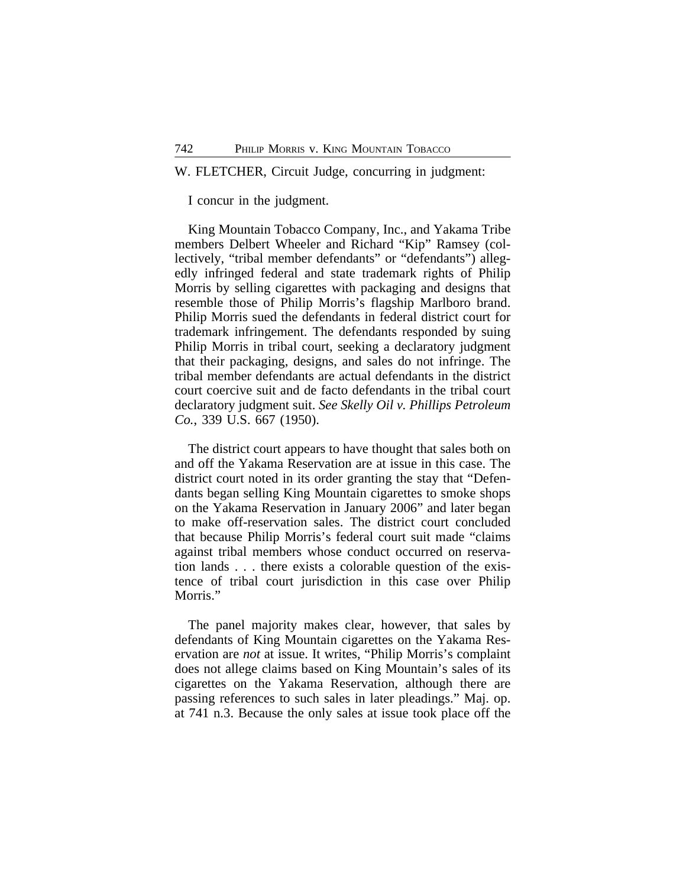### W. FLETCHER, Circuit Judge, concurring in judgment:

I concur in the judgment.

King Mountain Tobacco Company, Inc., and Yakama Tribe members Delbert Wheeler and Richard "Kip" Ramsey (collectively, "tribal member defendants" or "defendants") allegedly infringed federal and state trademark rights of Philip Morris by selling cigarettes with packaging and designs that resemble those of Philip Morris's flagship Marlboro brand. Philip Morris sued the defendants in federal district court for trademark infringement. The defendants responded by suing Philip Morris in tribal court, seeking a declaratory judgment that their packaging, designs, and sales do not infringe. The tribal member defendants are actual defendants in the district court coercive suit and de facto defendants in the tribal court declaratory judgment suit. *See Skelly Oil v. Phillips Petroleum Co.*, 339 U.S. 667 (1950).

The district court appears to have thought that sales both on and off the Yakama Reservation are at issue in this case. The district court noted in its order granting the stay that "Defendants began selling King Mountain cigarettes to smoke shops on the Yakama Reservation in January 2006" and later began to make off-reservation sales. The district court concluded that because Philip Morris's federal court suit made "claims against tribal members whose conduct occurred on reservation lands . . . there exists a colorable question of the existence of tribal court jurisdiction in this case over Philip Morris."

The panel majority makes clear, however, that sales by defendants of King Mountain cigarettes on the Yakama Reservation are *not* at issue. It writes, "Philip Morris's complaint does not allege claims based on King Mountain's sales of its cigarettes on the Yakama Reservation, although there are passing references to such sales in later pleadings." Maj. op. at 741 n.3. Because the only sales at issue took place off the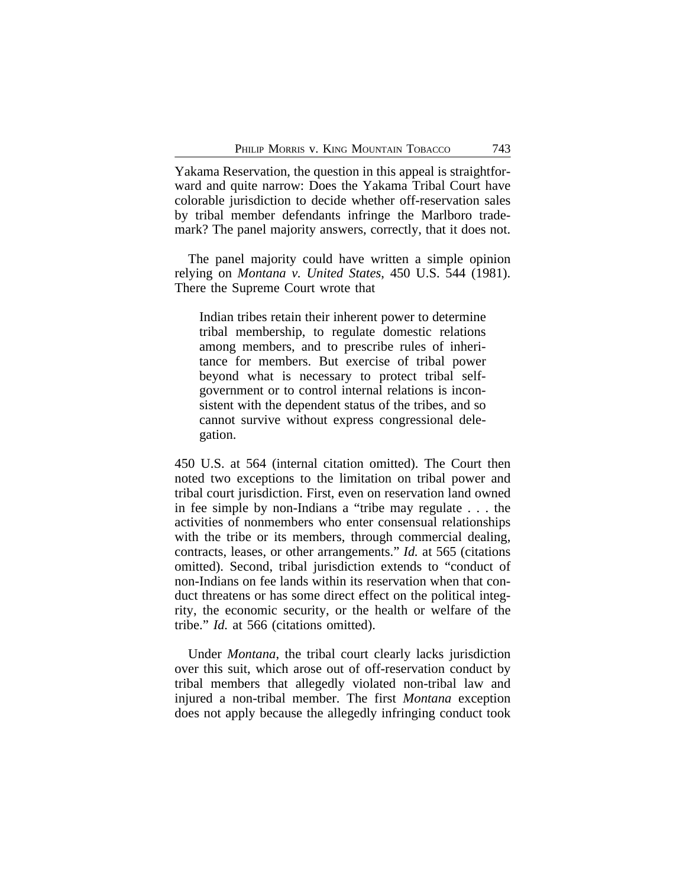Yakama Reservation, the question in this appeal is straightforward and quite narrow: Does the Yakama Tribal Court have colorable jurisdiction to decide whether off-reservation sales by tribal member defendants infringe the Marlboro trademark? The panel majority answers, correctly, that it does not.

The panel majority could have written a simple opinion relying on *Montana v. United States*, 450 U.S. 544 (1981). There the Supreme Court wrote that

Indian tribes retain their inherent power to determine tribal membership, to regulate domestic relations among members, and to prescribe rules of inheritance for members. But exercise of tribal power beyond what is necessary to protect tribal selfgovernment or to control internal relations is inconsistent with the dependent status of the tribes, and so cannot survive without express congressional delegation.

450 U.S. at 564 (internal citation omitted). The Court then noted two exceptions to the limitation on tribal power and tribal court jurisdiction. First, even on reservation land owned in fee simple by non-Indians a "tribe may regulate . . . the activities of nonmembers who enter consensual relationships with the tribe or its members, through commercial dealing, contracts, leases, or other arrangements." *Id.* at 565 (citations omitted). Second, tribal jurisdiction extends to "conduct of non-Indians on fee lands within its reservation when that conduct threatens or has some direct effect on the political integrity, the economic security, or the health or welfare of the tribe." *Id.* at 566 (citations omitted).

Under *Montana*, the tribal court clearly lacks jurisdiction over this suit, which arose out of off-reservation conduct by tribal members that allegedly violated non-tribal law and injured a non-tribal member. The first *Montana* exception does not apply because the allegedly infringing conduct took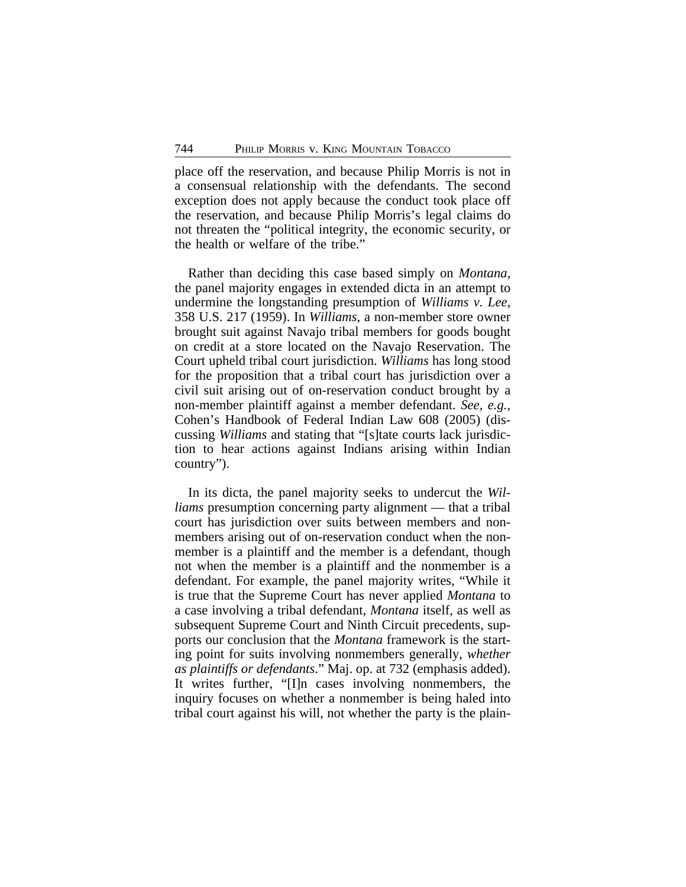place off the reservation, and because Philip Morris is not in a consensual relationship with the defendants. The second exception does not apply because the conduct took place off the reservation, and because Philip Morris's legal claims do not threaten the "political integrity, the economic security, or the health or welfare of the tribe."

Rather than deciding this case based simply on *Montana*, the panel majority engages in extended dicta in an attempt to undermine the longstanding presumption of *Williams v. Lee*, 358 U.S. 217 (1959). In *Williams*, a non-member store owner brought suit against Navajo tribal members for goods bought on credit at a store located on the Navajo Reservation. The Court upheld tribal court jurisdiction. *Williams* has long stood for the proposition that a tribal court has jurisdiction over a civil suit arising out of on-reservation conduct brought by a non-member plaintiff against a member defendant. *See, e.g.,* Cohen's Handbook of Federal Indian Law 608 (2005) (discussing *Williams* and stating that "[s]tate courts lack jurisdiction to hear actions against Indians arising within Indian country").

In its dicta, the panel majority seeks to undercut the *Williams* presumption concerning party alignment — that a tribal court has jurisdiction over suits between members and nonmembers arising out of on-reservation conduct when the nonmember is a plaintiff and the member is a defendant, though not when the member is a plaintiff and the nonmember is a defendant. For example, the panel majority writes, "While it is true that the Supreme Court has never applied *Montana* to a case involving a tribal defendant, *Montana* itself, as well as subsequent Supreme Court and Ninth Circuit precedents, supports our conclusion that the *Montana* framework is the starting point for suits involving nonmembers generally, *whether as plaintiffs or defendants*." Maj. op. at 732 (emphasis added). It writes further, "[I]n cases involving nonmembers, the inquiry focuses on whether a nonmember is being haled into tribal court against his will, not whether the party is the plain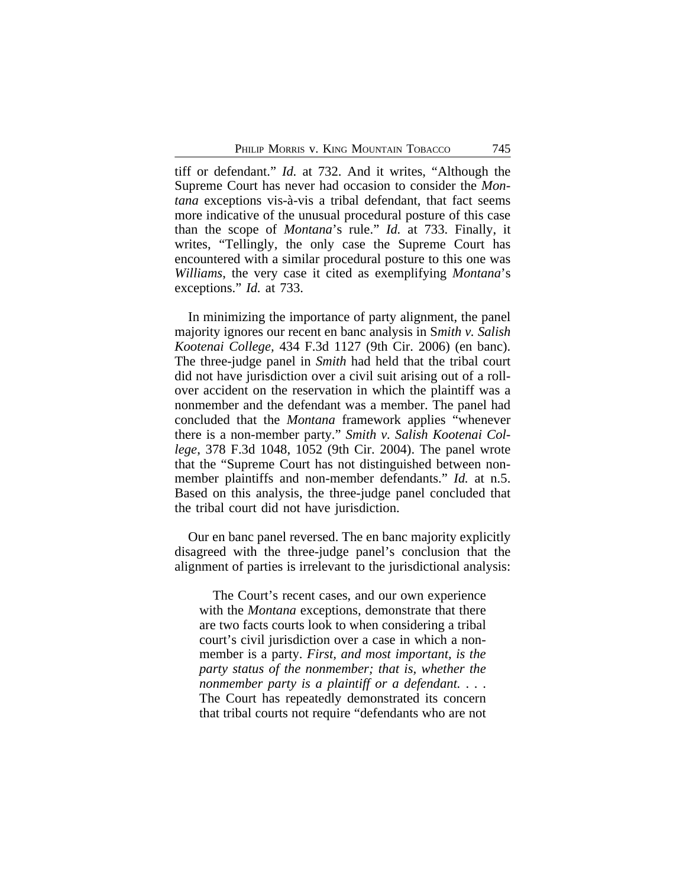tiff or defendant." *Id.* at 732. And it writes, "Although the Supreme Court has never had occasion to consider the *Montana* exceptions vis-à-vis a tribal defendant, that fact seems more indicative of the unusual procedural posture of this case than the scope of *Montana*'s rule." *Id.* at 733. Finally, it writes, "Tellingly, the only case the Supreme Court has encountered with a similar procedural posture to this one was *Williams*, the very case it cited as exemplifying *Montana*'s exceptions." *Id.* at 733.

In minimizing the importance of party alignment, the panel majority ignores our recent en banc analysis in S*mith v. Salish Kootenai College,* 434 F.3d 1127 (9th Cir. 2006) (en banc). The three-judge panel in *Smith* had held that the tribal court did not have jurisdiction over a civil suit arising out of a rollover accident on the reservation in which the plaintiff was a nonmember and the defendant was a member. The panel had concluded that the *Montana* framework applies "whenever there is a non-member party." *Smith v. Salish Kootenai College*, 378 F.3d 1048, 1052 (9th Cir. 2004). The panel wrote that the "Supreme Court has not distinguished between nonmember plaintiffs and non-member defendants." *Id.* at n.5. Based on this analysis, the three-judge panel concluded that the tribal court did not have jurisdiction.

Our en banc panel reversed. The en banc majority explicitly disagreed with the three-judge panel's conclusion that the alignment of parties is irrelevant to the jurisdictional analysis:

The Court's recent cases, and our own experience with the *Montana* exceptions, demonstrate that there are two facts courts look to when considering a tribal court's civil jurisdiction over a case in which a nonmember is a party. *First, and most important, is the party status of the nonmember; that is, whether the nonmember party is a plaintiff or a defendant.* . . . The Court has repeatedly demonstrated its concern that tribal courts not require "defendants who are not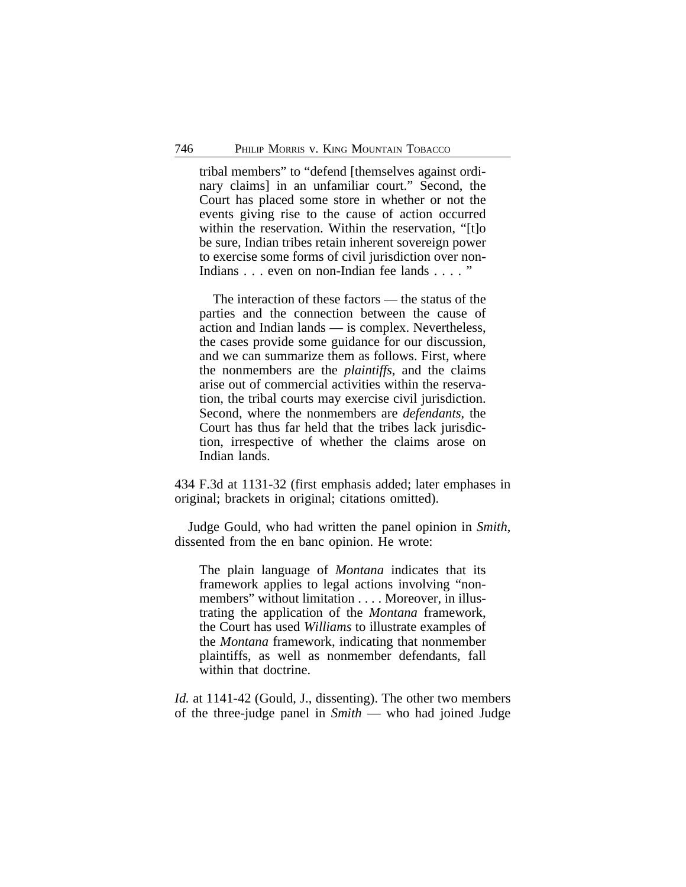tribal members" to "defend [themselves against ordinary claims] in an unfamiliar court." Second, the Court has placed some store in whether or not the events giving rise to the cause of action occurred within the reservation. Within the reservation, "[t]o] be sure, Indian tribes retain inherent sovereign power to exercise some forms of civil jurisdiction over non-Indians . . . even on non-Indian fee lands . . . . "

The interaction of these factors — the status of the parties and the connection between the cause of action and Indian lands — is complex. Nevertheless, the cases provide some guidance for our discussion, and we can summarize them as follows. First, where the nonmembers are the *plaintiffs*, and the claims arise out of commercial activities within the reservation, the tribal courts may exercise civil jurisdiction. Second, where the nonmembers are *defendants*, the Court has thus far held that the tribes lack jurisdiction, irrespective of whether the claims arose on Indian lands.

434 F.3d at 1131-32 (first emphasis added; later emphases in original; brackets in original; citations omitted).

Judge Gould, who had written the panel opinion in *Smith*, dissented from the en banc opinion. He wrote:

The plain language of *Montana* indicates that its framework applies to legal actions involving "nonmembers" without limitation . . . . Moreover, in illustrating the application of the *Montana* framework, the Court has used *Williams* to illustrate examples of the *Montana* framework, indicating that nonmember plaintiffs, as well as nonmember defendants, fall within that doctrine.

*Id.* at 1141-42 (Gould, J., dissenting). The other two members of the three-judge panel in *Smith* — who had joined Judge